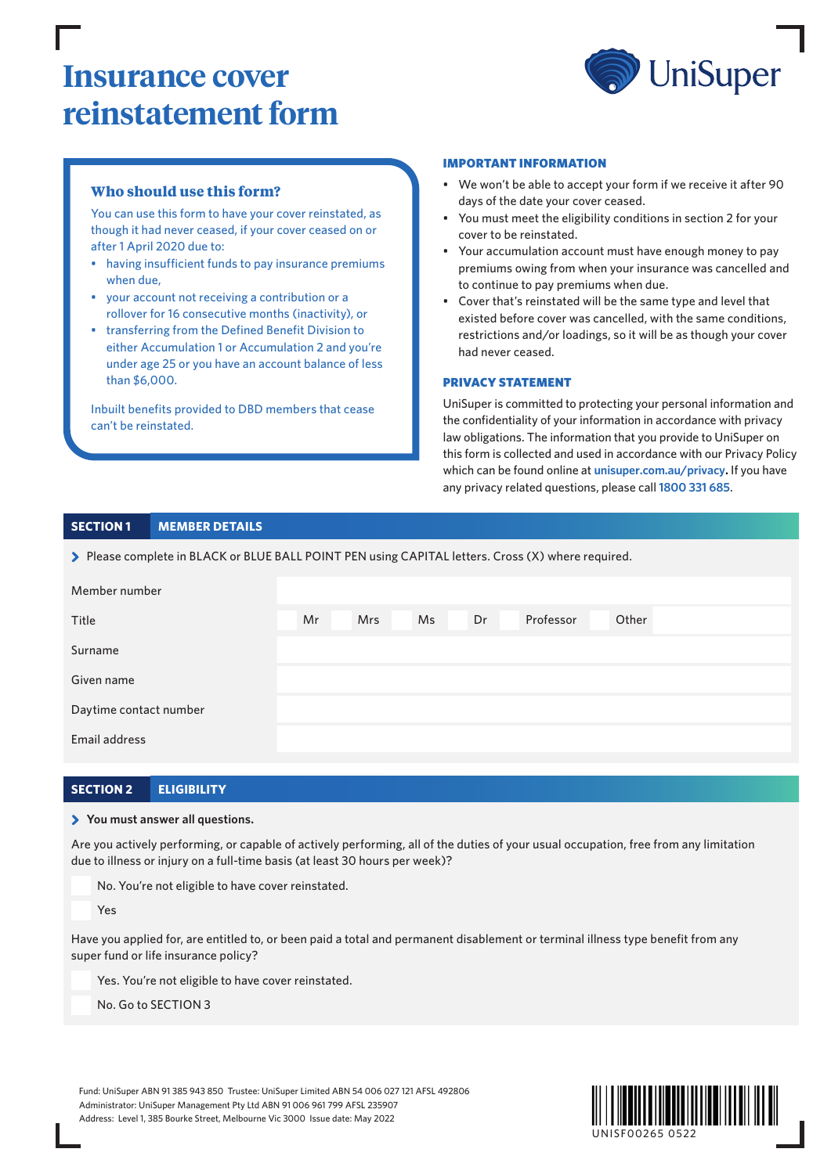# **Insurance cover reinstatement form**



# **Who should use this form?**

You can use this form to have your cover reinstated, as though it had never ceased, if your cover ceased on or after 1 April 2020 due to:

- having insufficient funds to pay insurance premiums when due,
- your account not receiving a contribution or a rollover for 16 consecutive months (inactivity), or
- transferring from the Defined Benefit Division to either Accumulation 1 or Accumulation 2 and you're under age 25 or you have an account balance of less than \$6,000.

Inbuilt benefits provided to DBD members that cease can't be reinstated.

#### IMPORTANT INFORMATION

- We won't be able to accept your form if we receive it after 90 days of the date your cover ceased.
- You must meet the eligibility conditions in section 2 for your cover to be reinstated.
- Your accumulation account must have enough money to pay premiums owing from when your insurance was cancelled and to continue to pay premiums when due.
- Cover that's reinstated will be the same type and level that existed before cover was cancelled, with the same conditions, restrictions and/or loadings, so it will be as though your cover had never ceased.

#### PRIVACY STATEMENT

UniSuper is committed to protecting your personal information and the confidentiality of your information in accordance with privacy law obligations. The information that you provide to UniSuper on this form is collected and used in accordance with our Privacy Policy which can be found online at **[unisuper.com.au/privacy.](http://unisuper.com.au/privacy)** If you have any privacy related questions, please call **1800 331 685**.

# **SECTION 1 MEMBER DETAILS**

> Please complete in BLACK or BLUE BALL POINT PEN using CAPITAL letters. Cross (X) where required.

| Member number          |    |     |    |    |           |       |  |
|------------------------|----|-----|----|----|-----------|-------|--|
| Title                  | Mr | Mrs | Ms | Dr | Professor | Other |  |
| Surname                |    |     |    |    |           |       |  |
| Given name             |    |     |    |    |           |       |  |
| Daytime contact number |    |     |    |    |           |       |  |
| Email address          |    |     |    |    |           |       |  |

# **SECTION 2 ELIGIBILITY**

#### > **You must answer all questions.**

Are you actively performing, or capable of actively performing, all of the duties of your usual occupation, free from any limitation due to illness or injury on a full-time basis (at least 30 hours per week)?

No. You're not eligible to have cover reinstated.

Yes

Have you applied for, are entitled to, or been paid a total and permanent disablement or terminal illness type benefit from any super fund or life insurance policy?

Yes. You're not eligible to have cover reinstated.

No. Go to SECTION 3

Fund: UniSuper ABN 91 385 943 850 Trustee: UniSuper Limited ABN 54 006 027 121 AFSL 492806 Administrator: UniSuper Management Pty Ltd ABN 91 006 961 799 AFSL 235907 Address: Level 1, 385 Bourke Street, Melbourne Vic 3000 Issue date: May 2022